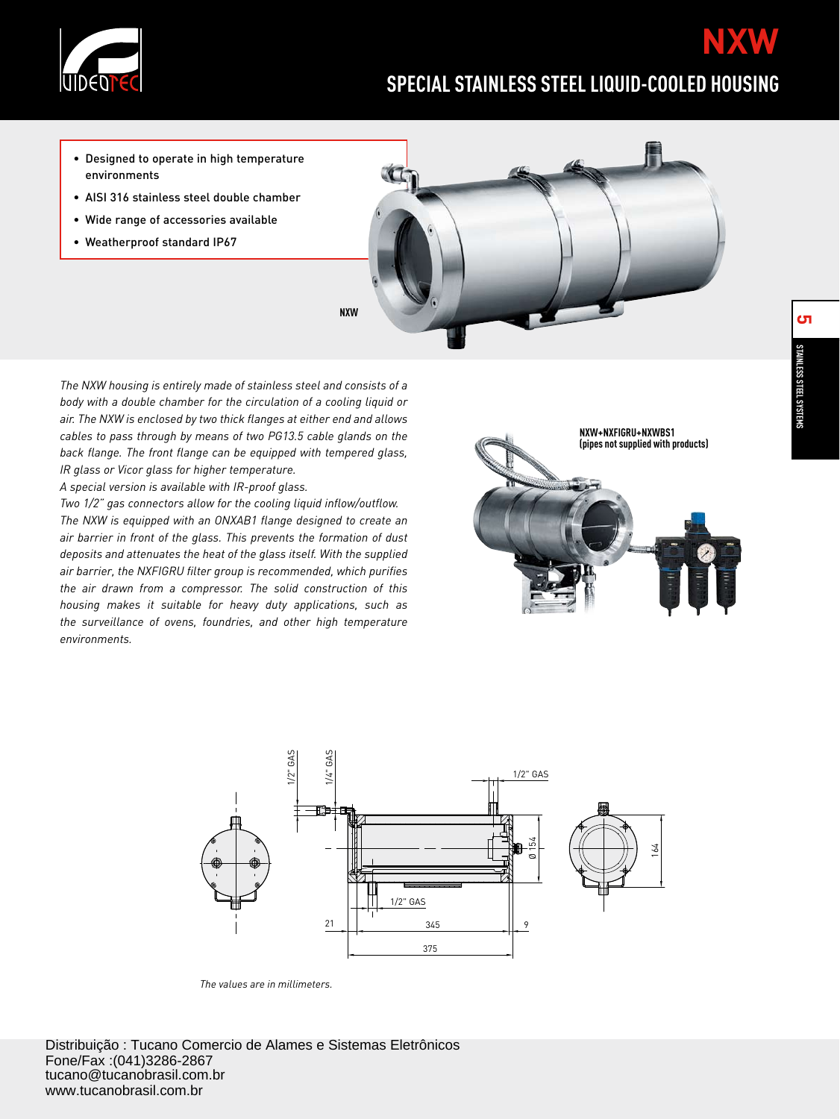

# **SPECIAL STAINLESS STEEL LIQUID-COOLED HOUSING**

- Designed to operate in high temperature environments
- AISI 316 stainless steel double chamber
- Wide range of accessories available
- Weatherproof standard IP67

*The NXW housing is entirely made of stainless steel and consists of a body with a double chamber for the circulation of a cooling liquid or air. The NXW is enclosed by two thick flanges at either end and allows cables to pass through by means of two PG13.5 cable glands on the back flange. The front flange can be equipped with tempered glass, IR glass or Vicor glass for higher temperature.*

*A special version is available with IR-proof glass.*

*Two 1/2" gas connectors allow for the cooling liquid inflow/outflow. The NXW is equipped with an ONXAB1 flange designed to create an air barrier in front of the glass. This prevents the formation of dust deposits and attenuates the heat of the glass itself. With the supplied air barrier, the NXFIGRU filter group is recommended, which purifies the air drawn from a compressor. The solid construction of this housing makes it suitable for heavy duty applications, such as the surveillance of ovens, foundries, and other high temperature environments.*







*The values are in millimeters.*

**NXW**